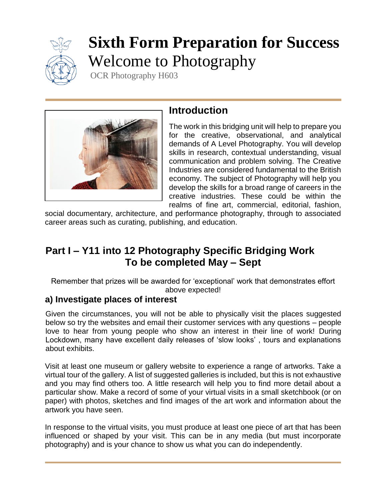

# **Sixth Form Preparation for Success** Welcome to Photography

OCR Photography H603



## **Introduction**

The work in this bridging unit will help to prepare you for the creative, observational, and analytical demands of A Level Photography. You will develop skills in research, contextual understanding, visual communication and problem solving. The Creative Industries are considered fundamental to the British economy. The subject of Photography will help you develop the skills for a broad range of careers in the creative industries. These could be within the realms of fine art, commercial, editorial, fashion,

social documentary, architecture, and performance photography, through to associated career areas such as curating, publishing, and education.

# **Part I – Y11 into 12 Photography Specific Bridging Work To be completed May – Sept**

Remember that prizes will be awarded for 'exceptional' work that demonstrates effort above expected!

## **a) Investigate places of interest**

Given the circumstances, you will not be able to physically visit the places suggested below so try the websites and email their customer services with any questions – people love to hear from young people who show an interest in their line of work! During Lockdown, many have excellent daily releases of 'slow looks' , tours and explanations about exhibits.

Visit at least one museum or gallery website to experience a range of artworks. Take a virtual tour of the gallery. A list of suggested galleries is included, but this is not exhaustive and you may find others too. A little research will help you to find more detail about a particular show. Make a record of some of your virtual visits in a small sketchbook (or on paper) with photos, sketches and find images of the art work and information about the artwork you have seen.

In response to the virtual visits, you must produce at least one piece of art that has been influenced or shaped by your visit. This can be in any media (but must incorporate photography) and is your chance to show us what you can do independently.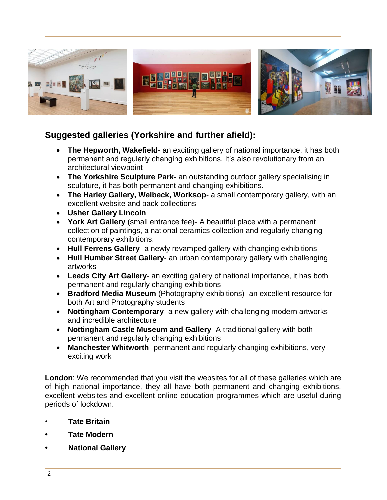

### **Suggested galleries (Yorkshire and further afield):**

- **The Hepworth, Wakefield** an exciting gallery of national importance, it has both permanent and regularly changing exhibitions. It's also revolutionary from an architectural viewpoint
- **The Yorkshire Sculpture Park-** an outstanding outdoor gallery specialising in sculpture, it has both permanent and changing exhibitions.
- **The Harley Gallery, Welbeck, Worksop** a small contemporary gallery, with an excellent website and back collections
- **Usher Gallery Lincoln**
- **York Art Gallery** (small entrance fee)- A beautiful place with a permanent collection of paintings, a national ceramics collection and regularly changing contemporary exhibitions.
- **Hull Ferrens Gallery** a newly revamped gallery with changing exhibitions
- **Hull Humber Street Gallery** an urban contemporary gallery with challenging artworks
- **Leeds City Art Gallery** an exciting gallery of national importance, it has both permanent and regularly changing exhibitions
- **Bradford Media Museum** (Photography exhibitions)- an excellent resource for both Art and Photography students
- **Nottingham Contemporary** a new gallery with challenging modern artworks and incredible architecture
- **Nottingham Castle Museum and Gallery** A traditional gallery with both permanent and regularly changing exhibitions
- **Manchester Whitworth** permanent and regularly changing exhibitions, very exciting work

**London**: We recommended that you visit the websites for all of these galleries which are of high national importance, they all have both permanent and changing exhibitions, excellent websites and excellent online education programmes which are useful during periods of lockdown.

- **Tate Britain**
- **• Tate Modern**
- **• National Gallery**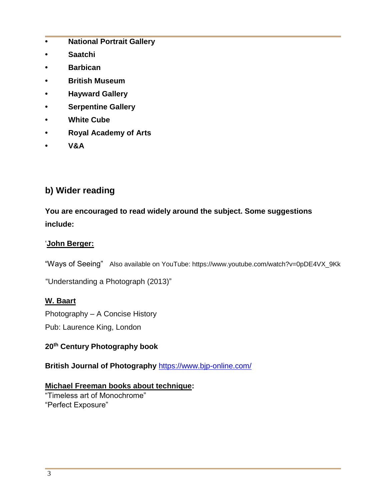- **• National Portrait Gallery**
- **• Saatchi**
- **• Barbican**
- **• British Museum**
- **• Hayward Gallery**
- **• Serpentine Gallery**
- **• White Cube**
- **• Royal Academy of Arts**
- **• V&A**

## **b) Wider reading**

**You are encouraged to read widely around the subject. Some suggestions include:**

#### '**John Berger:**

"Ways of Seeing" Also available on YouTube: https://www.youtube.com/watch?v=0pDE4VX\_9Kk

"Understanding a Photograph (2013)"

#### **W. Baart**

Photography – A Concise History

Pub: Laurence King, London

#### **20th Century Photography book**

**British Journal of Photography** <https://www.bjp-online.com/>

#### **Michael Freeman books about technique:**

"Timeless art of Monochrome" "Perfect Exposure"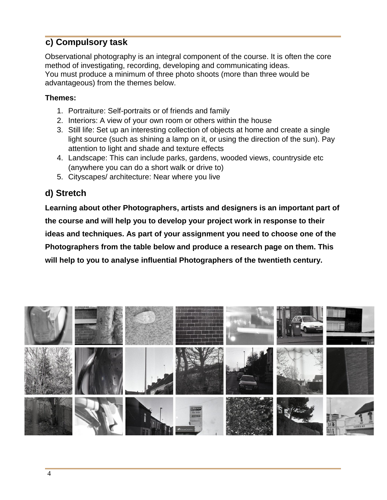## **c) Compulsory task**

Observational photography is an integral component of the course. It is often the core method of investigating, recording, developing and communicating ideas. You must produce a minimum of three photo shoots (more than three would be advantageous) from the themes below.

#### **Themes:**

- 1. Portraiture: Self-portraits or of friends and family
- 2. Interiors: A view of your own room or others within the house
- 3. Still life: Set up an interesting collection of objects at home and create a single light source (such as shining a lamp on it, or using the direction of the sun). Pay attention to light and shade and texture effects
- 4. Landscape: This can include parks, gardens, wooded views, countryside etc (anywhere you can do a short walk or drive to)
- 5. Cityscapes/ architecture: Near where you live

## **d) Stretch**

**Learning about other Photographers, artists and designers is an important part of the course and will help you to develop your project work in response to their ideas and techniques. As part of your assignment you need to choose one of the Photographers from the table below and produce a research page on them. This will help to you to analyse influential Photographers of the twentieth century.**

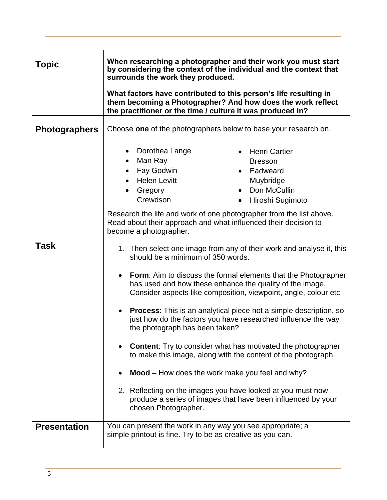| Topic                | When researching a photographer and their work you must start<br>by considering the context of the individual and the context that                                                                                                   |
|----------------------|--------------------------------------------------------------------------------------------------------------------------------------------------------------------------------------------------------------------------------------|
|                      | surrounds the work they produced.                                                                                                                                                                                                    |
|                      | What factors have contributed to this person's life resulting in<br>them becoming a Photographer? And how does the work reflect<br>the practitioner or the time / culture it was produced in?                                        |
| <b>Photographers</b> | Choose one of the photographers below to base your research on.                                                                                                                                                                      |
|                      | Dorothea Lange<br><b>Henri Cartier-</b><br>$\bullet$<br>Man Ray<br><b>Bresson</b><br>$\bullet$<br>Fay Godwin<br>Eadweard<br><b>Helen Levitt</b><br>Muybridge<br>Don McCullin<br>Gregory<br>Crewdson<br>Hiroshi Sugimoto<br>$\bullet$ |
|                      | Research the life and work of one photographer from the list above.<br>Read about their approach and what influenced their decision to<br>become a photographer.                                                                     |
| Task                 | 1. Then select one image from any of their work and analyse it, this<br>should be a minimum of 350 words.                                                                                                                            |
|                      | Form: Aim to discuss the formal elements that the Photographer<br>$\bullet$<br>has used and how these enhance the quality of the image.<br>Consider aspects like composition, viewpoint, angle, colour etc.                          |
|                      | Process: This is an analytical piece not a simple description, so<br>just how do the factors you have researched influence the way<br>the photograph has been taken?                                                                 |
|                      | <b>Content:</b> Try to consider what has motivated the photographer<br>to make this image, along with the content of the photograph.                                                                                                 |
|                      | Mood – How does the work make you feel and why?                                                                                                                                                                                      |
|                      | 2. Reflecting on the images you have looked at you must now<br>produce a series of images that have been influenced by your<br>chosen Photographer.                                                                                  |
| <b>Presentation</b>  | You can present the work in any way you see appropriate; a<br>simple printout is fine. Try to be as creative as you can.                                                                                                             |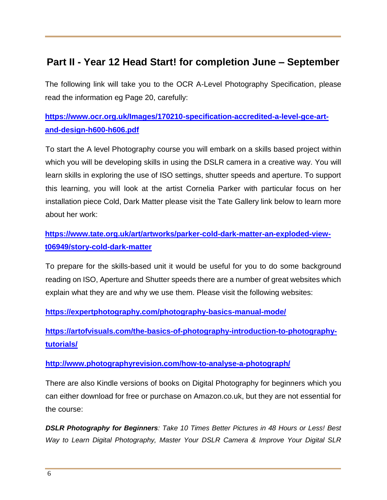# **Part II - Year 12 Head Start! for completion June – September**

The following link will take you to the OCR A-Level Photography Specification, please read the information eg Page 20, carefully:

## **[https://www.ocr.org.uk/Images/170210-specification-accredited-a-level-gce-art](https://www.ocr.org.uk/Images/170210-specification-accredited-a-level-gce-art-and-design-h600-h606.pdf)[and-design-h600-h606.pdf](https://www.ocr.org.uk/Images/170210-specification-accredited-a-level-gce-art-and-design-h600-h606.pdf)**

To start the A level Photography course you will embark on a skills based project within which you will be developing skills in using the DSLR camera in a creative way. You will learn skills in exploring the use of ISO settings, shutter speeds and aperture. To support this learning, you will look at the artist Cornelia Parker with particular focus on her installation piece Cold, Dark Matter please visit the Tate Gallery link below to learn more about her work:

## **[https://www.tate.org.uk/art/artworks/parker-cold-dark-matter-an-exploded-view](https://www.tate.org.uk/art/artworks/parker-cold-dark-matter-an-exploded-view-t06949/story-cold-dark-matter)[t06949/story-cold-dark-matter](https://www.tate.org.uk/art/artworks/parker-cold-dark-matter-an-exploded-view-t06949/story-cold-dark-matter)**

To prepare for the skills-based unit it would be useful for you to do some background reading on ISO, Aperture and Shutter speeds there are a number of great websites which explain what they are and why we use them. Please visit the following websites:

**<https://expertphotography.com/photography-basics-manual-mode/>**

**[https://artofvisuals.com/the-basics-of-photography-introduction-to-photography](https://artofvisuals.com/the-basics-of-photography-introduction-to-photography-tutorials/)[tutorials/](https://artofvisuals.com/the-basics-of-photography-introduction-to-photography-tutorials/)**

#### **<http://www.photographyrevision.com/how-to-analyse-a-photograph/>**

There are also Kindle versions of books on Digital Photography for beginners which you can either download for free or purchase on Amazon.co.uk, but they are not essential for the course:

*DSLR Photography for Beginners: Take 10 Times Better Pictures in 48 Hours or Less! Best Way to Learn Digital Photography, Master Your DSLR Camera & Improve Your Digital SLR*